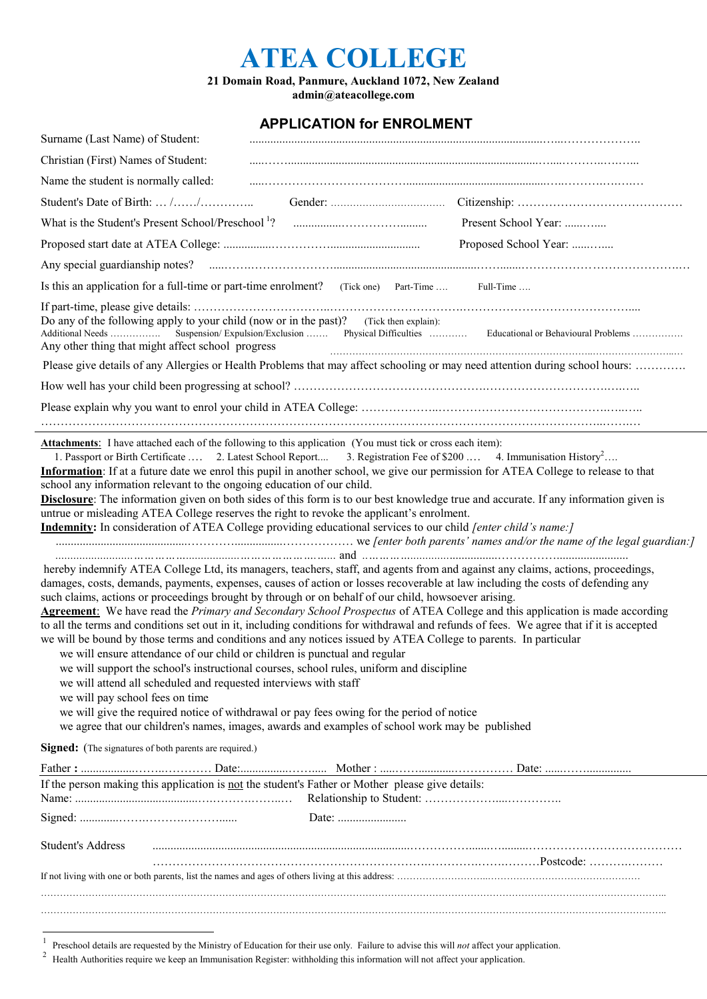## **ATEA COLLEGE**

**21 Domain Road, Panmure, Auckland 1072, New Zealand admin@ateacollege.com**

## **APPLICATION for ENROLMENT**

| Christian (First) Names of Student:                           |                                                                                                                                                                                                                                                                                                                                                                                                                                                                                                                                                                                                                                                                                                                                                                                                                                          |
|---------------------------------------------------------------|------------------------------------------------------------------------------------------------------------------------------------------------------------------------------------------------------------------------------------------------------------------------------------------------------------------------------------------------------------------------------------------------------------------------------------------------------------------------------------------------------------------------------------------------------------------------------------------------------------------------------------------------------------------------------------------------------------------------------------------------------------------------------------------------------------------------------------------|
| Name the student is normally called:                          |                                                                                                                                                                                                                                                                                                                                                                                                                                                                                                                                                                                                                                                                                                                                                                                                                                          |
|                                                               |                                                                                                                                                                                                                                                                                                                                                                                                                                                                                                                                                                                                                                                                                                                                                                                                                                          |
|                                                               | Present School Year:                                                                                                                                                                                                                                                                                                                                                                                                                                                                                                                                                                                                                                                                                                                                                                                                                     |
|                                                               | Proposed School Year:                                                                                                                                                                                                                                                                                                                                                                                                                                                                                                                                                                                                                                                                                                                                                                                                                    |
|                                                               |                                                                                                                                                                                                                                                                                                                                                                                                                                                                                                                                                                                                                                                                                                                                                                                                                                          |
|                                                               | Is this an application for a full-time or part-time enrolment? (Tick one) Part-Time  Full-Time                                                                                                                                                                                                                                                                                                                                                                                                                                                                                                                                                                                                                                                                                                                                           |
|                                                               | Do any of the following apply to your child (now or in the past)? (Tick then explain):<br>Additional Needs  Suspension/Expulsion/Exclusion  Physical Difficulties  Educational or Behavioural Problems<br>Any other thing that might affect school progress                                                                                                                                                                                                                                                                                                                                                                                                                                                                                                                                                                              |
|                                                               | Please give details of any Allergies or Health Problems that may affect schooling or may need attention during school hours:                                                                                                                                                                                                                                                                                                                                                                                                                                                                                                                                                                                                                                                                                                             |
|                                                               |                                                                                                                                                                                                                                                                                                                                                                                                                                                                                                                                                                                                                                                                                                                                                                                                                                          |
|                                                               |                                                                                                                                                                                                                                                                                                                                                                                                                                                                                                                                                                                                                                                                                                                                                                                                                                          |
|                                                               |                                                                                                                                                                                                                                                                                                                                                                                                                                                                                                                                                                                                                                                                                                                                                                                                                                          |
|                                                               | <b>Indemnity:</b> In consideration of ATEA College providing educational services to our child <i>[enter child's name:]</i>                                                                                                                                                                                                                                                                                                                                                                                                                                                                                                                                                                                                                                                                                                              |
| we will pay school fees on time                               | hereby indemnify ATEA College Ltd, its managers, teachers, staff, and agents from and against any claims, actions, proceedings,<br>damages, costs, demands, payments, expenses, causes of action or losses recoverable at law including the costs of defending any<br>such claims, actions or proceedings brought by through or on behalf of our child, howsoever arising.<br>we will be bound by those terms and conditions and any notices issued by ATEA College to parents. In particular<br>we will ensure attendance of our child or children is punctual and regular<br>we will support the school's instructional courses, school rules, uniform and discipline<br>we will attend all scheduled and requested interviews with staff<br>we will give the required notice of withdrawal or pay fees owing for the period of notice |
|                                                               | we agree that our children's names, images, awards and examples of school work may be published                                                                                                                                                                                                                                                                                                                                                                                                                                                                                                                                                                                                                                                                                                                                          |
| <b>Signed:</b> (The signatures of both parents are required.) | <b>Agreement:</b> We have read the Primary and Secondary School Prospectus of ATEA College and this application is made according<br>to all the terms and conditions set out in it, including conditions for withdrawal and refunds of fees. We agree that if it is accepted                                                                                                                                                                                                                                                                                                                                                                                                                                                                                                                                                             |
|                                                               |                                                                                                                                                                                                                                                                                                                                                                                                                                                                                                                                                                                                                                                                                                                                                                                                                                          |
|                                                               | If the person making this application is not the student's Father or Mother please give details:                                                                                                                                                                                                                                                                                                                                                                                                                                                                                                                                                                                                                                                                                                                                         |
|                                                               | Date:                                                                                                                                                                                                                                                                                                                                                                                                                                                                                                                                                                                                                                                                                                                                                                                                                                    |
| <b>Student's Address</b>                                      |                                                                                                                                                                                                                                                                                                                                                                                                                                                                                                                                                                                                                                                                                                                                                                                                                                          |
|                                                               |                                                                                                                                                                                                                                                                                                                                                                                                                                                                                                                                                                                                                                                                                                                                                                                                                                          |

 $\frac{1}{1}$ Preschool details are requested by the Ministry of Education for their use only. Failure to advise this will *not* affect your application.

2 Health Authorities require we keep an Immunisation Register: withholding this information will not affect your application.